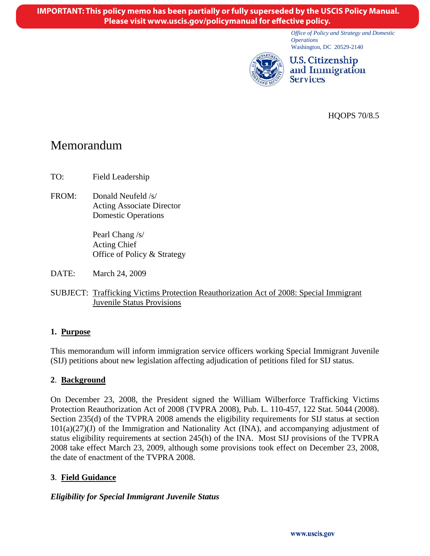*Office of Policy and Strategy and Domestic Operations*  Washington, DC 20529-2140



U.S. Citizenship and Immigration **Services** 

HQOPS 70/8.5

# Memorandum

TO: Field Leadership

FROM: Donald Neufeld /s/ Acting Associate Director Domestic Operations

> Pearl Chang /s/ Acting Chief Office of Policy & Strategy

- DATE: March 24, 2009
- SUBJECT: Trafficking Victims Protection Reauthorization Act of 2008: Special Immigrant Juvenile Status Provisions

# **1. Purpose**

This memorandum will inform immigration service officers working Special Immigrant Juvenile (SIJ) petitions about new legislation affecting adjudication of petitions filed for SIJ status.

# **2**. **Background**

On December 23, 2008, the President signed the William Wilberforce Trafficking Victims Protection Reauthorization Act of 2008 (TVPRA 2008), Pub. L. 110-457, 122 Stat. 5044 (2008). Section 235(d) of the TVPRA 2008 amends the eligibility requirements for SIJ status at section  $101(a)(27)(J)$  of the Immigration and Nationality Act (INA), and accompanying adjustment of status eligibility requirements at section 245(h) of the INA. Most SIJ provisions of the TVPRA 2008 take effect March 23, 2009, although some provisions took effect on December 23, 2008, the date of enactment of the TVPRA 2008.

# **3**. **Field Guidance**

#### *Eligibility for Special Immigrant Juvenile Status*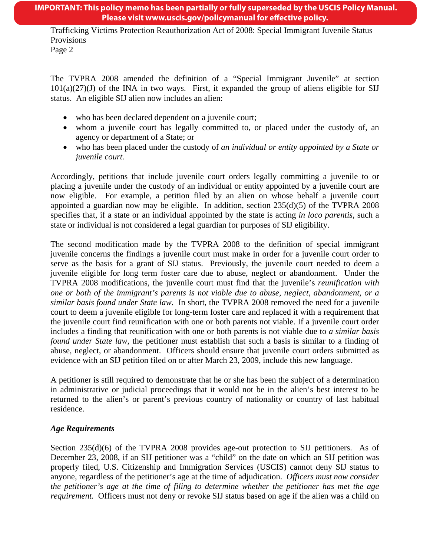# **IMPORTANT: This policy memo has been partially or fully superseded by the USCIS Policy Manual. Please visit www.uscis.gov/policymanual for effective policy.**

Trafficking Victims Protection Reauthorization Act of 2008: Special Immigrant Juvenile Status Provisions

The TVPRA 2008 amended the definition of a "Special Immigrant Juvenile" at section  $101(a)(27)(J)$  of the INA in two ways. First, it expanded the group of aliens eligible for SIJ status. An eligible SIJ alien now includes an alien:

- who has been declared dependent on a juvenile court;
- whom a juvenile court has legally committed to, or placed under the custody of, an agency or department of a State; or
- who has been placed under the custody of *an individual or entity appointed by a State or juvenile court.*

Accordingly, petitions that include juvenile court orders legally committing a juvenile to or placing a juvenile under the custody of an individual or entity appointed by a juvenile court are now eligible. For example, a petition filed by an alien on whose behalf a juvenile court appointed a guardian now may be eligible. In addition, section  $235(d)(5)$  of the TVPRA 2008 specifies that, if a state or an individual appointed by the state is acting *in loco parentis*, such a state or individual is not considered a legal guardian for purposes of SIJ eligibility.

The second modification made by the TVPRA 2008 to the definition of special immigrant juvenile concerns the findings a juvenile court must make in order for a juvenile court order to serve as the basis for a grant of SIJ status. Previously, the juvenile court needed to deem a juvenile eligible for long term foster care due to abuse, neglect or abandonment. Under the TVPRA 2008 modifications, the juvenile court must find that the juvenile's *reunification with one or both of the immigrant's parents is not viable due to abuse, neglect, abandonment, or a similar basis found under State law*. In short, the TVPRA 2008 removed the need for a juvenile court to deem a juvenile eligible for long-term foster care and replaced it with a requirement that the juvenile court find reunification with one or both parents not viable. If a juvenile court order includes a finding that reunification with one or both parents is not viable due to *a similar basis found under State law*, the petitioner must establish that such a basis is similar to a finding of abuse, neglect, or abandonment. Officers should ensure that juvenile court orders submitted as evidence with an SIJ petition filed on or after March 23, 2009, include this new language.

A petitioner is still required to demonstrate that he or she has been the subject of a determination in administrative or judicial proceedings that it would not be in the alien's best interest to be returned to the alien's or parent's previous country of nationality or country of last habitual residence.

# *Age Requirements*

Section 235(d)(6) of the TVPRA 2008 provides age-out protection to SIJ petitioners. As of December 23, 2008, if an SIJ petitioner was a "child" on the date on which an SIJ petition was properly filed, U.S. Citizenship and Immigration Services (USCIS) cannot deny SIJ status to anyone, regardless of the petitioner's age at the time of adjudication. *Officers must now consider the petitioner's age at the time of filing to determine whether the petitioner has met the age requirement.* Officers must not deny or revoke SIJ status based on age if the alien was a child on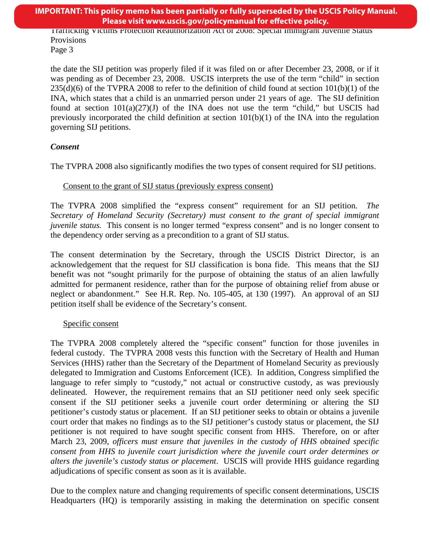**IMPORTANT: This policy memo has been partially or fully superseded by the USCIS Policy Manual. Please visit www.uscis.gov/policymanual for effective policy.** 

Trafficking Victims Protection Reauthorization Act of 2008: Special Immigrant Juvenile Status Provisions

Page 3

the date the SIJ petition was properly filed if it was filed on or after December 23, 2008, or if it was pending as of December 23, 2008. USCIS interprets the use of the term "child" in section  $235(d)(6)$  of the TVPRA 2008 to refer to the definition of child found at section  $101(b)(1)$  of the INA, which states that a child is an unmarried person under 21 years of age. The SIJ definition found at section  $101(a)(27)(J)$  of the INA does not use the term "child," but USCIS had previously incorporated the child definition at section  $101(b)(1)$  of the INA into the regulation governing SIJ petitions.

# *Consent*

The TVPRA 2008 also significantly modifies the two types of consent required for SIJ petitions.

#### Consent to the grant of SIJ status (previously express consent)

The TVPRA 2008 simplified the "express consent" requirement for an SIJ petition. *The Secretary of Homeland Security (Secretary) must consent to the grant of special immigrant juvenile status.* This consent is no longer termed "express consent" and is no longer consent to the dependency order serving as a precondition to a grant of SIJ status.

The consent determination by the Secretary, through the USCIS District Director, is an acknowledgement that the request for SIJ classification is bona fide. This means that the SIJ benefit was not "sought primarily for the purpose of obtaining the status of an alien lawfully admitted for permanent residence, rather than for the purpose of obtaining relief from abuse or neglect or abandonment." See H.R. Rep. No. 105-405, at 130 (1997). An approval of an SIJ petition itself shall be evidence of the Secretary's consent.

# Specific consent

The TVPRA 2008 completely altered the "specific consent" function for those juveniles in federal custody. The TVPRA 2008 vests this function with the Secretary of Health and Human Services (HHS) rather than the Secretary of the Department of Homeland Security as previously delegated to Immigration and Customs Enforcement (ICE). In addition, Congress simplified the language to refer simply to "custody," not actual or constructive custody, as was previously delineated. However, the requirement remains that an SIJ petitioner need only seek specific consent if the SIJ petitioner seeks a juvenile court order determining or altering the SIJ petitioner's custody status or placement. If an SIJ petitioner seeks to obtain or obtains a juvenile court order that makes no findings as to the SIJ petitioner's custody status or placement, the SIJ petitioner is not required to have sought specific consent from HHS. Therefore, on or after March 23, 2009, *officers must ensure that juveniles in the custody of HHS obtained specific consent from HHS to juvenile court jurisdiction where the juvenile court order determines or alters the juvenile's custody status or placement*. USCIS will provide HHS guidance regarding adjudications of specific consent as soon as it is available.

Due to the complex nature and changing requirements of specific consent determinations, USCIS Headquarters (HQ) is temporarily assisting in making the determination on specific consent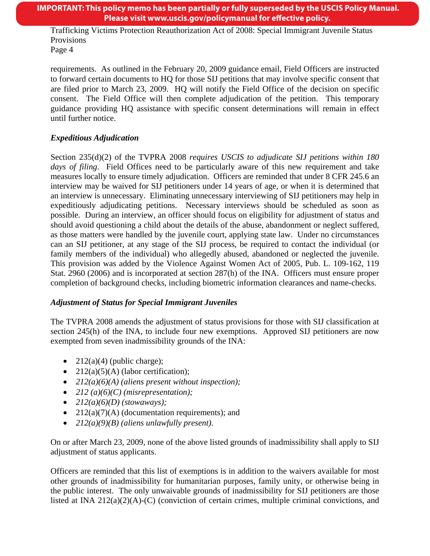#### **IMPORTANT: This policy memo has been partially or fully superseded by the USCIS Policy Manual. Please visit www.uscis.gov/policymanual for effective policy.**

Trafficking Victims Protection Reauthorization Act of 2008: Special Immigrant Juvenile Status Provisions

Page 4

requirements. As outlined in the February 20, 2009 guidance email, Field Officers are instructed to forward certain documents to HQ for those SIJ petitions that may involve specific consent that are filed prior to March 23, 2009. HQ will notify the Field Office of the decision on specific consent. The Field Office will then complete adjudication of the petition. This temporary guidance providing HQ assistance with specific consent determinations will remain in effect until further notice.

# *Expeditious Adjudication*

Section 235(d)(2) of the TVPRA 2008 *requires USCIS to adjudicate SIJ petitions within 180 days of filing*. Field Offices need to be particularly aware of this new requirement and take measures locally to ensure timely adjudication. Officers are reminded that under 8 CFR 245.6 an interview may be waived for SIJ petitioners under 14 years of age, or when it is determined that an interview is unnecessary. Eliminating unnecessary interviewing of SIJ petitioners may help in expeditiously adjudicating petitions. Necessary interviews should be scheduled as soon as possible. During an interview, an officer should focus on eligibility for adjustment of status and should avoid questioning a child about the details of the abuse, abandonment or neglect suffered, as those matters were handled by the juvenile court, applying state law. Under no circumstances can an SIJ petitioner, at any stage of the SIJ process, be required to contact the individual (or family members of the individual) who allegedly abused, abandoned or neglected the juvenile. This provision was added by the Violence Against Women Act of 2005, Pub. L. 109-162, 119 Stat. 2960 (2006) and is incorporated at section 287(h) of the INA. Officers must ensure proper completion of background checks, including biometric information clearances and name-checks.

# *Adjustment of Status for Special Immigrant Juveniles*

The TVPRA 2008 amends the adjustment of status provisions for those with SIJ classification at section 245(h) of the INA, to include four new exemptions. Approved SIJ petitioners are now exempted from seven inadmissibility grounds of the INA:

- $212(a)(4)$  (public charge);
- $212(a)(5)(A)$  (labor certification);
- *212(a)(6)(A) (aliens present without inspection);*
- *212 (a)(6)(C) (misrepresentation);*
- *212(a)(6)(D) (stowaways);*
- $212(a)(7)(A)$  (documentation requirements); and
- *212(a)(9)(B) (aliens unlawfully present)*.

On or after March 23, 2009, none of the above listed grounds of inadmissibility shall apply to SIJ adjustment of status applicants.

Officers are reminded that this list of exemptions is in addition to the waivers available for most other grounds of inadmissibility for humanitarian purposes, family unity, or otherwise being in the public interest. The only unwaivable grounds of inadmissibility for SIJ petitioners are those listed at INA  $212(a)(2)(A)-(C)$  (conviction of certain crimes, multiple criminal convictions, and